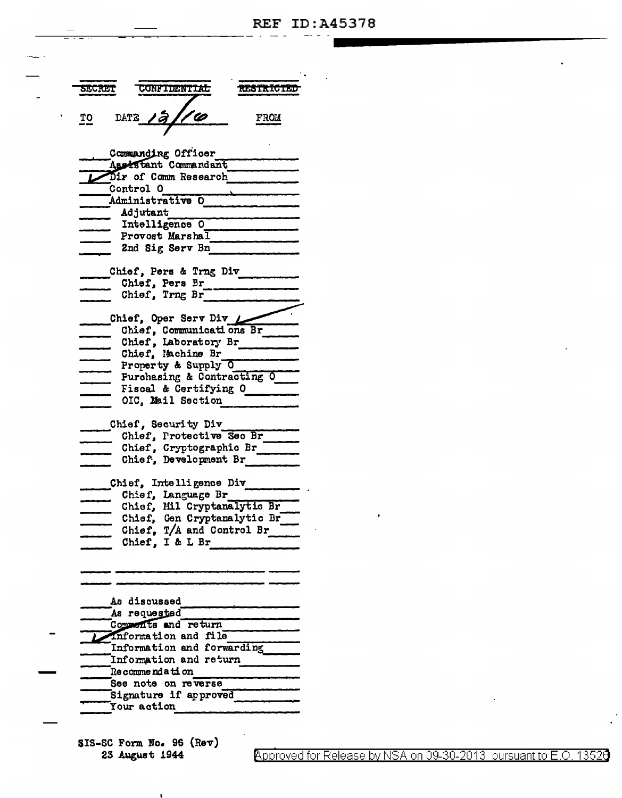| SECRET                                      |           | <b>CONFIDENTIAL</b>                        |                             | <b>RESTRICTED</b> |
|---------------------------------------------|-----------|--------------------------------------------|-----------------------------|-------------------|
| <u>TO</u>                                   |           | DATE 12/10                                 |                             | <b>FROM</b>       |
|                                             |           | Commanding Officer<br>Assistant Commandant |                             |                   |
|                                             | Control O | Dir of Comm Research                       |                             |                   |
|                                             |           | Administrative O                           |                             |                   |
|                                             | Adjutant  |                                            |                             |                   |
|                                             |           | Intelligence O                             |                             |                   |
|                                             |           | Provost Marshal                            |                             |                   |
|                                             |           | 2nd Sig Serv Bn                            |                             |                   |
|                                             |           | Chief, Pers & Trng Div                     |                             |                   |
|                                             |           | Chief, Pers Br                             |                             |                   |
|                                             |           | Chief, Trng Br                             |                             |                   |
|                                             |           |                                            |                             |                   |
|                                             |           | Chief, Oper Serv Div L                     |                             |                   |
|                                             |           |                                            | Chief, Communications Br    |                   |
|                                             |           | Chief, Laboratory Br<br>Chief, Machine Br  |                             |                   |
|                                             |           | Property & Supply O                        |                             |                   |
|                                             |           |                                            | Purchasing & Contracting O  |                   |
|                                             |           | Fiscal & Certifying O                      |                             |                   |
|                                             |           | OIC, Mail Section                          |                             |                   |
|                                             |           |                                            |                             |                   |
|                                             |           | Chief, Security Div                        |                             |                   |
|                                             |           |                                            | Chief, Protective Sec Br    |                   |
|                                             |           |                                            | Chief, Cryptographic Br     |                   |
|                                             |           | Chief, Development Br                      |                             |                   |
|                                             |           | Chief, Intelligence Div                    |                             |                   |
|                                             |           | Chief, Language Br                         |                             |                   |
|                                             |           |                                            | Chief, Mil Cryptanalytic Br |                   |
|                                             |           |                                            | Chief, Gen Cryptanalytic Br |                   |
|                                             |           |                                            | Chief, T/A and Control Br   |                   |
|                                             |           | Chief, I & L Br                            |                             |                   |
|                                             |           |                                            |                             |                   |
|                                             |           |                                            |                             |                   |
|                                             |           |                                            |                             |                   |
| As discussed                                |           |                                            |                             |                   |
| As requested                                |           |                                            |                             |                   |
| Comments and return<br>information and file |           |                                            |                             |                   |
| Information and forwarding                  |           |                                            |                             |                   |
| Information and return                      |           |                                            |                             |                   |
| <b>Recommendation</b>                       |           |                                            |                             |                   |
|                                             |           | See note on reverse                        |                             |                   |
| Signature if approved                       |           |                                            |                             |                   |

SIS-SC Form No. 96 (Rev) 23 August 1944

Your action

Approved for Release by NSA on 09-30-2013 pursuant to E.O. 13526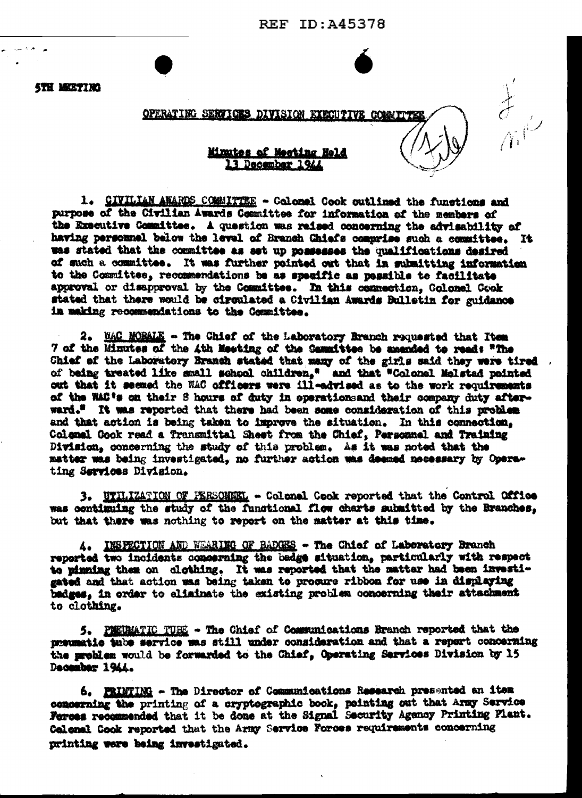**REF ID: A45378** 

 $\frac{1}{\sqrt{2}}$ 

**STH MEETING** 

## OPERATING SERVICES DIVISION EXECUTIVE COMMITTED

## Minutes of Meeting Held 13 December 1944

1. CIVILIAN AWARDS COMMITTEE - Colonel Cook outlined the functions and purpose of the Civilian Awards Committee for information of the members of the Executive Committee. A question was raised concerning the advisability of having personnel below the level of Branch Chiefs comprise such a committee. It was stated that the committee as set up possesses the qualifications desired of such a committee. It was further pointed out that in submitting information to the Committee, recommendations be as specific as possible to facilitate approval or disapproval by the Committee. In this connection, Golonel Cook stated that there would be circulated a Civilian Awards Bulletin for guidance in making recommendations to the Committee.

2. MAC MORALE - The Chief of the Laboratory Branch requested that Item 7 of the Minutes of the 4th Meeting of the Cammittee be amended to read: "The Chief of the Laboratory Branch stated that many of the girls said they were tired . of being treated like small school children," and that "Colonel Melstad pointed out that it seemed the WAC officers were ill-advised as to the work requirements of the WAC's on their S hours of duty in operationsand their company duty afterward." It was reported that there had been some consideration of this problem and that action is being taken to improve the situation. In this connection, Colonal Gook read a Transmittal Shest from the Chief, Personnel and Training Division, concerning the study of this problem. As it was noted that the matter was being investigated, no further action was deemed necessary by Operating Services Division.

3. WTILIZATION OF PERSONNEL - Colonel Cook reported that the Control Office was continuing the study of the functional flow charts submitted by the Branches. but that there was nothing to report on the matter at this time.

A. INSPECTION AND WEARING OF BADGES - The Chief of Laboratory Branch reported two incidents concerning the badge situation, particularly with respect to pinning them on clothing. It was reported that the matter had been investigated and that action was being taken to procure ribbon for use in displaying badges. in order to eliminate the existing problem concerning their attachment to clothing.

5. PEEDMATIC TUES - The Chief of Communications Branch reported that the preumatic tube service was still under consideration and that a report concerning the problem would be forwarded to the Chief, Operating Services Division by 15 December 1944.

6. PRINTING - The Director of Communications Research presented an item concerning the printing of a cryptographic book, pointing out that Army Service Ferces recommended that it be done at the Signal Security Agency Printing Plant. Colonal Cook reported that the Army Service Forces requirements concerning printing were being investigated.